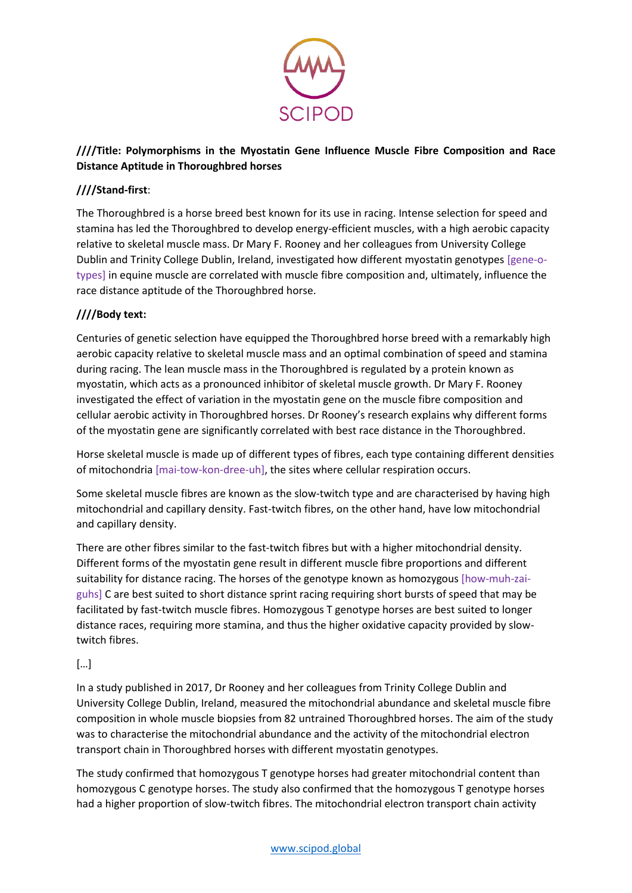

## **////Title: Polymorphisms in the Myostatin Gene Influence Muscle Fibre Composition and Race Distance Aptitude in Thoroughbred horses**

# **////Stand-first**:

The Thoroughbred is a horse breed best known for its use in racing. Intense selection for speed and stamina has led the Thoroughbred to develop energy-efficient muscles, with a high aerobic capacity relative to skeletal muscle mass. Dr Mary F. Rooney and her colleagues from University College Dublin and Trinity College Dublin, Ireland, investigated how different myostatin genotypes [gene-otypes] in equine muscle are correlated with muscle fibre composition and, ultimately, influence the race distance aptitude of the Thoroughbred horse.

# **////Body text:**

Centuries of genetic selection have equipped the Thoroughbred horse breed with a remarkably high aerobic capacity relative to skeletal muscle mass and an optimal combination of speed and stamina during racing. The lean muscle mass in the Thoroughbred is regulated by a protein known as myostatin, which acts as a pronounced inhibitor of skeletal muscle growth. Dr Mary F. Rooney investigated the effect of variation in the myostatin gene on the muscle fibre composition and cellular aerobic activity in Thoroughbred horses. Dr Rooney's research explains why different forms of the myostatin gene are significantly correlated with best race distance in the Thoroughbred.

Horse skeletal muscle is made up of different types of fibres, each type containing different densities of mitochondria [mai-tow-kon-dree-uh], the sites where cellular respiration occurs.

Some skeletal muscle fibres are known as the slow-twitch type and are characterised by having high mitochondrial and capillary density. Fast-twitch fibres, on the other hand, have low mitochondrial and capillary density.

There are other fibres similar to the fast-twitch fibres but with a higher mitochondrial density. Different forms of the myostatin gene result in different muscle fibre proportions and different suitability for distance racing. The horses of the genotype known as homozygous [how-muh-zaiguhs] C are best suited to short distance sprint racing requiring short bursts of speed that may be facilitated by fast-twitch muscle fibres. Homozygous T genotype horses are best suited to longer distance races, requiring more stamina, and thus the higher oxidative capacity provided by slowtwitch fibres.

## […]

In a study published in 2017, Dr Rooney and her colleagues from Trinity College Dublin and University College Dublin, Ireland, measured the mitochondrial abundance and skeletal muscle fibre composition in whole muscle biopsies from 82 untrained Thoroughbred horses. The aim of the study was to characterise the mitochondrial abundance and the activity of the mitochondrial electron transport chain in Thoroughbred horses with different myostatin genotypes.

The study confirmed that homozygous T genotype horses had greater mitochondrial content than homozygous C genotype horses. The study also confirmed that the homozygous T genotype horses had a higher proportion of slow-twitch fibres. The mitochondrial electron transport chain activity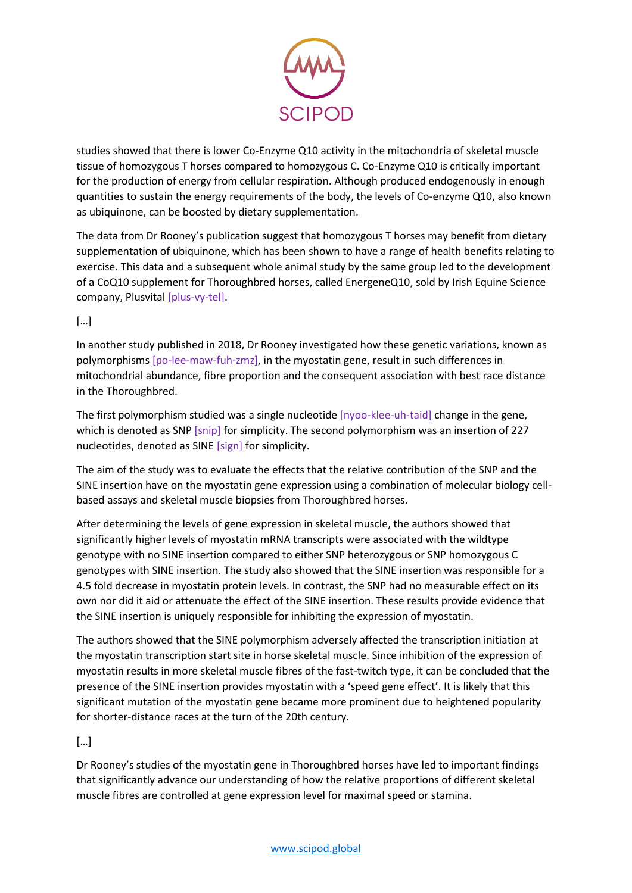

studies showed that there is lower Co-Enzyme Q10 activity in the mitochondria of skeletal muscle tissue of homozygous T horses compared to homozygous C. Co-Enzyme Q10 is critically important for the production of energy from cellular respiration. Although produced endogenously in enough quantities to sustain the energy requirements of the body, the levels of Co-enzyme Q10, also known as ubiquinone, can be boosted by dietary supplementation.

The data from Dr Rooney's publication suggest that homozygous T horses may benefit from dietary supplementation of ubiquinone, which has been shown to have a range of health benefits relating to exercise. This data and a subsequent whole animal study by the same group led to the development of a CoQ10 supplement for Thoroughbred horses, called EnergeneQ10, sold by Irish Equine Science company, Plusvital [plus-vy-tel].

#### […]

In another study published in 2018, Dr Rooney investigated how these genetic variations, known as polymorphisms [po-lee-maw-fuh-zmz], in the myostatin gene, result in such differences in mitochondrial abundance, fibre proportion and the consequent association with best race distance in the Thoroughbred.

The first polymorphism studied was a single nucleotide [nyoo-klee-uh-taid] change in the gene, which is denoted as SNP [snip] for simplicity. The second polymorphism was an insertion of 227 nucleotides, denoted as SINE [sign] for simplicity.

The aim of the study was to evaluate the effects that the relative contribution of the SNP and the SINE insertion have on the myostatin gene expression using a combination of molecular biology cellbased assays and skeletal muscle biopsies from Thoroughbred horses.

After determining the levels of gene expression in skeletal muscle, the authors showed that significantly higher levels of myostatin mRNA transcripts were associated with the wildtype genotype with no SINE insertion compared to either SNP heterozygous or SNP homozygous C genotypes with SINE insertion. The study also showed that the SINE insertion was responsible for a 4.5 fold decrease in myostatin protein levels. In contrast, the SNP had no measurable effect on its own nor did it aid or attenuate the effect of the SINE insertion. These results provide evidence that the SINE insertion is uniquely responsible for inhibiting the expression of myostatin.

The authors showed that the SINE polymorphism adversely affected the transcription initiation at the myostatin transcription start site in horse skeletal muscle. Since inhibition of the expression of myostatin results in more skeletal muscle fibres of the fast-twitch type, it can be concluded that the presence of the SINE insertion provides myostatin with a 'speed gene effect'. It is likely that this significant mutation of the myostatin gene became more prominent due to heightened popularity for shorter-distance races at the turn of the 20th century.

#### […]

Dr Rooney's studies of the myostatin gene in Thoroughbred horses have led to important findings that significantly advance our understanding of how the relative proportions of different skeletal muscle fibres are controlled at gene expression level for maximal speed or stamina.